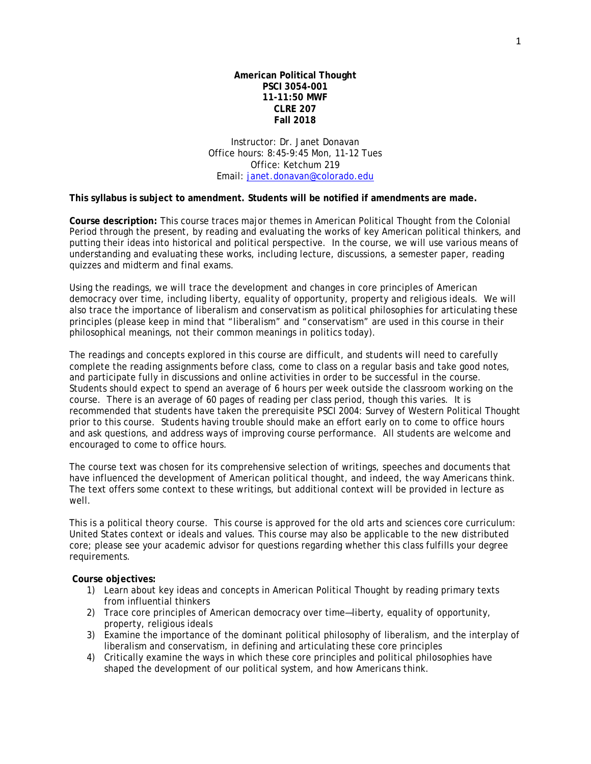**American Political Thought PSCI 3054-001 11-11:50 MWF CLRE 207 Fall 2018**

Instructor: Dr. Janet Donavan Office hours: 8:45-9:45 Mon, 11-12 Tues Office: Ketchum 219 Email: [janet.donavan@colorado.edu](mailto:janet.donavan@colorado.edu)

**This syllabus is subject to amendment. Students will be notified if amendments are made.**

**Course description:** This course traces major themes in American Political Thought from the Colonial Period through the present, by reading and evaluating the works of key American political thinkers, and putting their ideas into historical and political perspective. In the course, we will use various means of understanding and evaluating these works, including lecture, discussions, a semester paper, reading quizzes and midterm and final exams.

Using the readings, we will trace the development and changes in core principles of American democracy over time, including liberty, equality of opportunity, property and religious ideals. We will also trace the importance of liberalism and conservatism as political philosophies for articulating these principles (please keep in mind that "liberalism" and "conservatism" are used in this course in their philosophical meanings, not their common meanings in politics today).

The readings and concepts explored in this course are difficult, and students will need to carefully complete the reading assignments before class, come to class on a regular basis and take good notes, and participate fully in discussions and online activities in order to be successful in the course. Students should expect to spend an average of 6 hours per week outside the classroom working on the course. There is an average of 60 pages of reading per class period, though this varies. It is recommended that students have taken the prerequisite PSCI 2004: Survey of Western Political Thought prior to this course. Students having trouble should make an effort early on to come to office hours and ask questions, and address ways of improving course performance. All students are welcome and encouraged to come to office hours.

The course text was chosen for its comprehensive selection of writings, speeches and documents that have influenced the development of American political thought, and indeed, the way Americans think. The text offers some context to these writings, but additional context will be provided in lecture as well.

This is a political theory course. This course is approved for the old arts and sciences core curriculum: United States context or ideals and values. This course may also be applicable to the new distributed core; please see your academic advisor for questions regarding whether this class fulfills your degree requirements.

**Course objectives:**

- 1) Learn about key ideas and concepts in American Political Thought by reading primary texts from influential thinkers
- 2) Trace core principles of American democracy over time—liberty, equality of opportunity, property, religious ideals
- 3) Examine the importance of the dominant political philosophy of liberalism, and the interplay of liberalism and conservatism, in defining and articulating these core principles
- 4) Critically examine the ways in which these core principles and political philosophies have shaped the development of our political system, and how Americans think.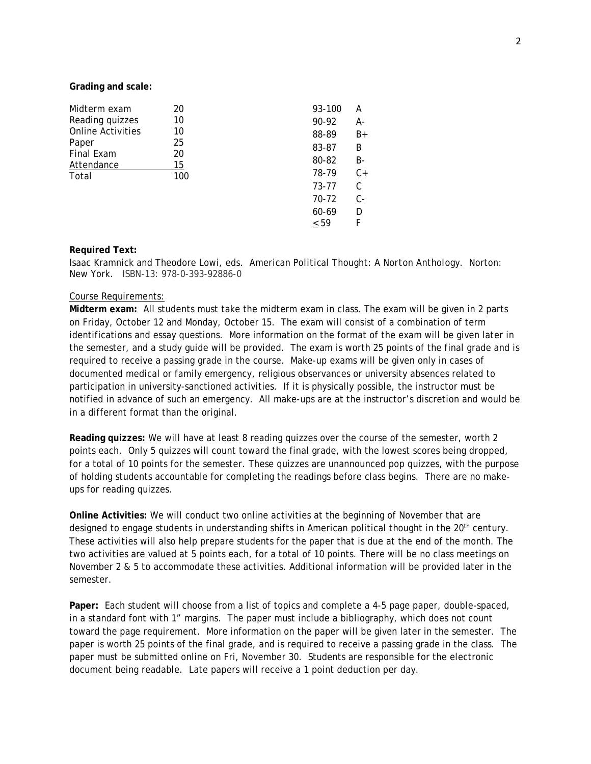### **Grading and scale:**

| Midterm exam                                           | 20                   | 93-100 | А     |
|--------------------------------------------------------|----------------------|--------|-------|
| Reading quizzes                                        | 10                   | 90-92  | А-    |
| <b>Online Activities</b><br>Paper<br><b>Final Exam</b> | 10<br>25<br>20<br>15 | 88-89  | $B+$  |
|                                                        |                      | 83-87  | B     |
|                                                        |                      | 80-82  | B-    |
| Attendance<br>Total                                    | 100                  | 78-79  | $C+$  |
|                                                        |                      | 73-77  | C     |
|                                                        |                      | 70-72  | $C -$ |
|                                                        |                      | 60-69  | D     |
|                                                        |                      | ~< 59  | F     |
|                                                        |                      |        |       |

## **Required Text:**

Isaac Kramnick and Theodore Lowi, eds. *American Political Thought: A Norton Anthology.* Norton: New York. ISBN-13: 978-0-393-92886-0

### Course Requirements:

**Midterm exam:** All students must take the midterm exam in class. The exam will be given in 2 parts on Friday, October 12 and Monday, October 15. The exam will consist of a combination of term identifications and essay questions. More information on the format of the exam will be given later in the semester, and a study guide will be provided. The exam is worth 25 points of the final grade and is required to receive a passing grade in the course. Make-up exams will be given only in cases of documented medical or family emergency, religious observances or university absences related to participation in university-sanctioned activities. If it is physically possible, the instructor must be notified in advance of such an emergency. All make-ups are at the instructor's discretion and would be in a different format than the original.

**Reading quizzes:** We will have at least 8 reading quizzes over the course of the semester, worth 2 points each. Only 5 quizzes will count toward the final grade, with the lowest scores being dropped, for a total of 10 points for the semester. These quizzes are unannounced pop quizzes, with the purpose of holding students accountable for completing the readings before class begins. There are no makeups for reading quizzes.

**Online Activities:** We will conduct two online activities at the beginning of November that are designed to engage students in understanding shifts in American political thought in the 20<sup>th</sup> century. These activities will also help prepare students for the paper that is due at the end of the month. The two activities are valued at 5 points each, for a total of 10 points. There will be no class meetings on November 2 & 5 to accommodate these activities. Additional information will be provided later in the semester.

**Paper:** Each student will choose from a list of topics and complete a 4-5 page paper, double-spaced, in a standard font with 1" margins. The paper must include a bibliography, which does not count toward the page requirement. More information on the paper will be given later in the semester. The paper is worth 25 points of the final grade, and is required to receive a passing grade in the class. The paper must be submitted online on Fri, November 30. Students are responsible for the electronic document being readable. Late papers will receive a 1 point deduction per day.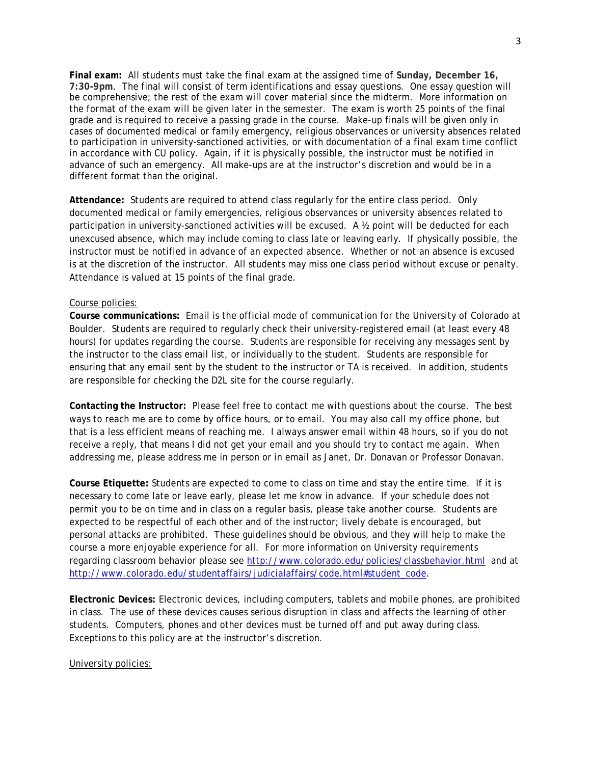**Final exam:** All students must take the final exam at the assigned time of **Sunday, December 16, 7:30-9pm**. The final will consist of term identifications and essay questions. One essay question will be comprehensive; the rest of the exam will cover material since the midterm. More information on the format of the exam will be given later in the semester. The exam is worth 25 points of the final grade and is required to receive a passing grade in the course. Make-up finals will be given only in cases of documented medical or family emergency, religious observances or university absences related to participation in university-sanctioned activities, or with documentation of a final exam time conflict in accordance with CU policy. Again, if it is physically possible, the instructor must be notified in advance of such an emergency. All make-ups are at the instructor's discretion and would be in a different format than the original.

**Attendance:** Students are required to attend class regularly for the entire class period. Only documented medical or family emergencies, religious observances or university absences related to participation in university-sanctioned activities will be excused. A ½ point will be deducted for each unexcused absence, which may include coming to class late or leaving early. If physically possible, the instructor must be notified in advance of an expected absence. Whether or not an absence is excused is at the discretion of the instructor. All students may miss one class period without excuse or penalty. Attendance is valued at 15 points of the final grade.

# Course policies:

**Course communications:** Email is the official mode of communication for the University of Colorado at Boulder. Students are required to regularly check their university-registered email (at least every 48 hours) for updates regarding the course. Students are responsible for receiving any messages sent by the instructor to the class email list, or individually to the student. Students are responsible for ensuring that any email sent by the student to the instructor or TA is received. In addition, students are responsible for checking the D2L site for the course regularly.

**Contacting the Instructor:** Please feel free to contact me with questions about the course. The best ways to reach me are to come by office hours, or to email. You may also call my office phone, but that is a less efficient means of reaching me. I always answer email within 48 hours, so if you do not receive a reply, that means I did not get your email and you should try to contact me again. When addressing me, please address me in person or in email as Janet, Dr. Donavan or Professor Donavan.

**Course Etiquette:** Students are expected to come to class on time and stay the entire time. If it is necessary to come late or leave early, please let me know in advance. If your schedule does not permit you to be on time and in class on a regular basis, please take another course. Students are expected to be respectful of each other and of the instructor; lively debate is encouraged, but personal attacks are prohibited. These guidelines should be obvious, and they will help to make the course a more enjoyable experience for all. For more information on University requirements regarding classroom behavior please see<http://www.colorado.edu/policies/classbehavior.html> and at [http://www.colorado.edu/studentaffairs/judicialaffairs/code.html#student\\_code.](http://www.colorado.edu/studentaffairs/judicialaffairs/code.html#student_code)

**Electronic Devices:** Electronic devices, including computers, tablets and mobile phones, are prohibited in class. The use of these devices causes serious disruption in class and affects the learning of other students. Computers, phones and other devices must be turned off and put away during class. Exceptions to this policy are at the instructor's discretion.

# University policies: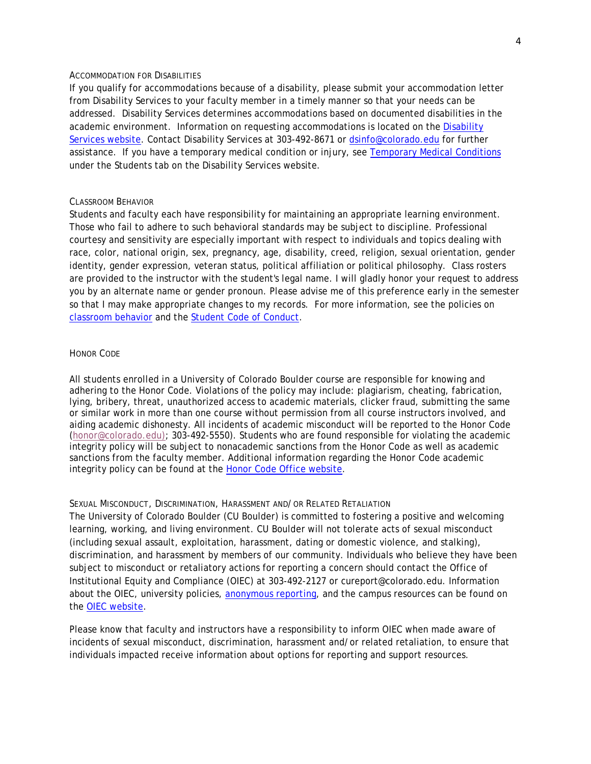### ACCOMMODATION FOR DISABILITIES

If you qualify for accommodations because of a disability, please submit your accommodation letter from Disability Services to your faculty member in a timely manner so that your needs can be addressed. Disability Services determines accommodations based on documented disabilities in the academic environment. Information on requesting accommodations is located on the [Disability](http://www.colorado.edu/disabilityservices/students)  [Services website.](http://www.colorado.edu/disabilityservices/students) Contact Disability Services at 303-492-8671 or [dsinfo@colorado.edu](mailto:dsinfo@colorado.edu) for further assistance. If you have a temporary medical condition or injury, see [Temporary Medical Conditions](http://www.colorado.edu/disabilityservices/students/temporary-medical-conditions) under the Students tab on the Disability Services website.

### CLASSROOM BEHAVIOR

Students and faculty each have responsibility for maintaining an appropriate learning environment. Those who fail to adhere to such behavioral standards may be subject to discipline. Professional courtesy and sensitivity are especially important with respect to individuals and topics dealing with race, color, national origin, sex, pregnancy, age, disability, creed, religion, sexual orientation, gender identity, gender expression, veteran status, political affiliation or political philosophy. Class rosters are provided to the instructor with the student's legal name. I will gladly honor your request to address you by an alternate name or gender pronoun. Please advise me of this preference early in the semester so that I may make appropriate changes to my records. For more information, see the policies on [classroom behavior](http://www.colorado.edu/policies/student-classroom-and-course-related-behavior) and the [Student Code of Conduct.](http://www.colorado.edu/osccr/)

### HONOR CODE

All students enrolled in a University of Colorado Boulder course are responsible for knowing and adhering to the Honor Code. Violations of the policy may include: plagiarism, cheating, fabrication, lying, bribery, threat, unauthorized access to academic materials, clicker fraud, submitting the same or similar work in more than one course without permission from all course instructors involved, and aiding academic dishonesty. All incidents of academic misconduct will be reported to the Honor Code [\(honor@colorado.edu\)](mailto:honor@colorado.edu); 303-492-5550). Students who are found responsible for violating the academic integrity policy will be subject to nonacademic sanctions from the Honor Code as well as academic sanctions from the faculty member. Additional information regarding the Honor Code academic integrity policy can be found at the [Honor Code Office website.](https://www.colorado.edu/osccr/honor-code)

# SEXUAL MISCONDUCT, DISCRIMINATION, HARASSMENT AND/OR RELATED RETALIATION

The University of Colorado Boulder (CU Boulder) is committed to fostering a positive and welcoming learning, working, and living environment. CU Boulder will not tolerate acts of sexual misconduct (including sexual assault, exploitation, harassment, dating or domestic violence, and stalking), discrimination, and harassment by members of our community. Individuals who believe they have been subject to misconduct or retaliatory actions for reporting a concern should contact the Office of Institutional Equity and Compliance (OIEC) at 303-492-2127 or cureport@colorado.edu. Information about the OIEC, university policies, [anonymous reporting,](https://cuboulder.qualtrics.com/jfe/form/SV_0PnqVK4kkIJIZnf) and the campus resources can be found on the [OIEC website.](http://www.colorado.edu/institutionalequity/)

Please know that faculty and instructors have a responsibility to inform OIEC when made aware of incidents of sexual misconduct, discrimination, harassment and/or related retaliation, to ensure that individuals impacted receive information about options for reporting and support resources.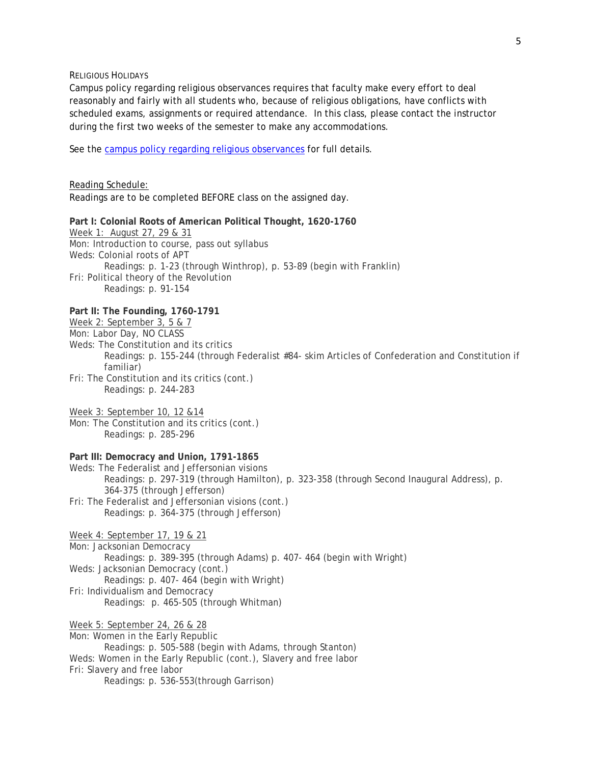RELIGIOUS HOLIDAYS

Campus policy regarding religious observances requires that faculty make every effort to deal reasonably and fairly with all students who, because of religious obligations, have conflicts with scheduled exams, assignments or required attendance. In this class, please contact the instructor during the first two weeks of the semester to make any accommodations.

See the [campus policy regarding religious observances](http://www.colorado.edu/policies/observance-religious-holidays-and-absences-classes-andor-exams) for full details.

Reading Schedule: Readings are to be completed BEFORE class on the assigned day. **Part I: Colonial Roots of American Political Thought, 1620-1760** Week 1: August 27, 29 & 31 Mon: Introduction to course, pass out syllabus Weds: Colonial roots of APT Readings: p. 1-23 (through Winthrop), p. 53-89 (begin with Franklin) Fri: Political theory of the Revolution Readings: p. 91-154 **Part II: The Founding, 1760-1791** Week 2: September 3, 5 & 7 Mon: Labor Day, NO CLASS Weds: The Constitution and its critics Readings: p. 155-244 (through Federalist #84- skim Articles of Confederation and Constitution if familiar) Fri: The Constitution and its critics (cont.) Readings: p. 244-283 Week 3: September 10, 12 &14 Mon: The Constitution and its critics (cont.) Readings: p. 285-296 **Part III: Democracy and Union, 1791-1865** Weds: The Federalist and Jeffersonian visions Readings: p. 297-319 (through Hamilton), p. 323-358 (through Second Inaugural Address), p. 364-375 (through Jefferson) Fri: The Federalist and Jeffersonian visions (cont.) Readings: p. 364-375 (through Jefferson) Week 4: September 17, 19 & 21 Mon: Jacksonian Democracy Readings: p. 389-395 (through Adams) p. 407- 464 (begin with Wright) Weds: Jacksonian Democracy (cont.) Readings: p. 407- 464 (begin with Wright) Fri: Individualism and Democracy Readings: p. 465-505 (through Whitman) Week 5: September 24, 26 & 28 Mon: Women in the Early Republic Readings: p. 505-588 (begin with Adams, through Stanton) Weds: Women in the Early Republic (cont.), Slavery and free labor Fri: Slavery and free labor Readings: p. 536-553(through Garrison)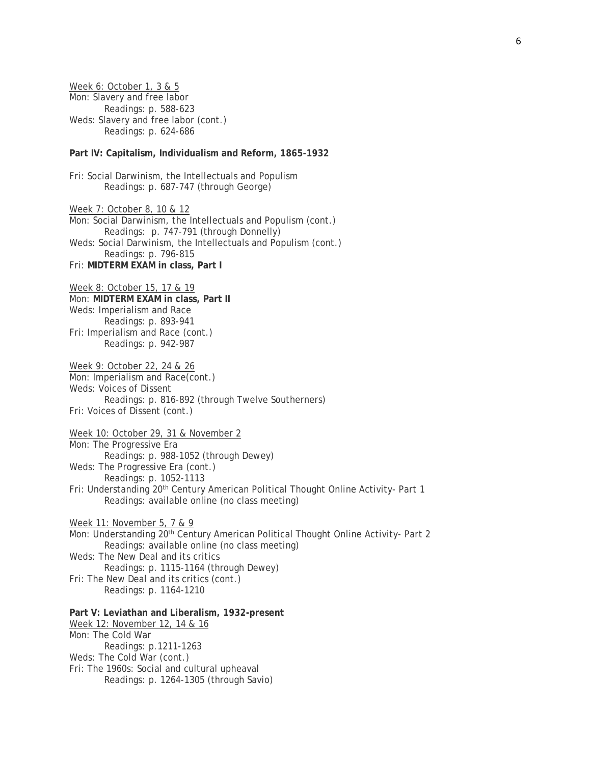Week 6: October 1, 3 & 5 Mon: Slavery and free labor Readings: p. 588-623 Weds: Slavery and free labor (cont.) Readings: p. 624-686

## **Part IV: Capitalism, Individualism and Reform, 1865-1932**

Fri: Social Darwinism, the Intellectuals and Populism Readings: p. 687-747 (through George)

Week 7: October 8, 10 & 12 Mon: Social Darwinism, the Intellectuals and Populism (cont.) Readings: p. 747-791 (through Donnelly) Weds: Social Darwinism, the Intellectuals and Populism (cont.) Readings: p. 796-815 Fri: **MIDTERM EXAM in class, Part I**

Week 8: October 15, 17 & 19 Mon: **MIDTERM EXAM in class, Part II** Weds: Imperialism and Race Readings: p. 893-941 Fri: Imperialism and Race (cont.) Readings: p. 942-987

Week 9: October 22, 24 & 26 Mon: Imperialism and Race(cont.) Weds: Voices of Dissent Readings: p. 816-892 (through Twelve Southerners) Fri: Voices of Dissent (cont.)

Week 10: October 29, 31 & November 2 Mon: The Progressive Era Readings: p. 988-1052 (through Dewey) Weds: The Progressive Era (cont.) Readings: p. 1052-1113 Fri: Understanding 20<sup>th</sup> Century American Political Thought Online Activity- Part 1 Readings: available online (no class meeting)

Week 11: November 5, 7 & 9 Mon: Understanding 20<sup>th</sup> Century American Political Thought Online Activity- Part 2 Readings: available online (no class meeting) Weds: The New Deal and its critics Readings: p. 1115-1164 (through Dewey) Fri: The New Deal and its critics (cont.) Readings: p. 1164-1210

**Part V: Leviathan and Liberalism, 1932-present** Week 12: November 12, 14 & 16 Mon: The Cold War Readings: p.1211-1263 Weds: The Cold War (cont.) Fri: The 1960s: Social and cultural upheaval Readings: p. 1264-1305 (through Savio)